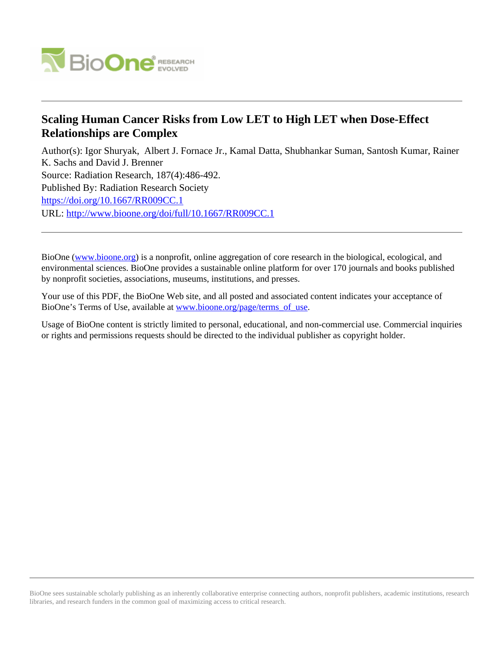

# **Scaling Human Cancer Risks from Low LET to High LET when Dose-Effect Relationships are Complex**

Author(s): Igor Shuryak, Albert J. Fornace Jr., Kamal Datta, Shubhankar Suman, Santosh Kumar, Rainer K. Sachs and David J. Brenner Source: Radiation Research, 187(4):486-492. Published By: Radiation Research Society <https://doi.org/10.1667/RR009CC.1> URL: <http://www.bioone.org/doi/full/10.1667/RR009CC.1>

BioOne [\(www.bioone.org\)](http://www.bioone.org) is a nonprofit, online aggregation of core research in the biological, ecological, and environmental sciences. BioOne provides a sustainable online platform for over 170 journals and books published by nonprofit societies, associations, museums, institutions, and presses.

Your use of this PDF, the BioOne Web site, and all posted and associated content indicates your acceptance of BioOne's Terms of Use, available at [www.bioone.org/page/terms\\_of\\_use.](http://www.bioone.org/page/terms_of_use)

Usage of BioOne content is strictly limited to personal, educational, and non-commercial use. Commercial inquiries or rights and permissions requests should be directed to the individual publisher as copyright holder.

BioOne sees sustainable scholarly publishing as an inherently collaborative enterprise connecting authors, nonprofit publishers, academic institutions, research libraries, and research funders in the common goal of maximizing access to critical research.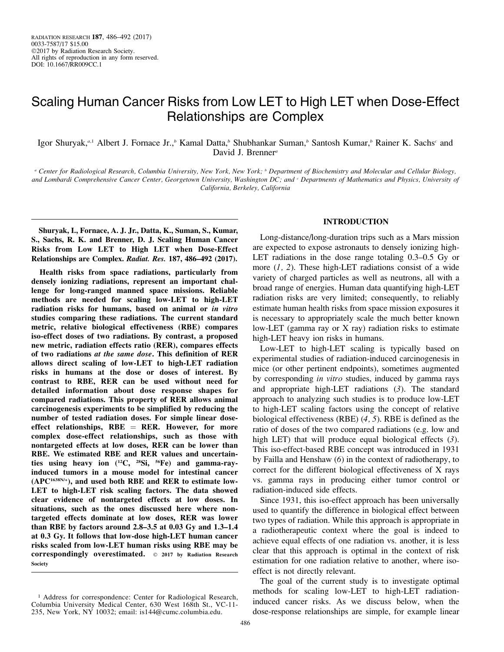# Scaling Human Cancer Risks from Low LET to High LET when Dose-Effect Relationships are Complex

Igor Shuryak,<sup>a,1</sup> Albert J. Fornace Jr.,<sup>b</sup> Kamal Datta,<sup>b</sup> Shubhankar Suman,<sup>b</sup> Santosh Kumar,<sup>b</sup> Rainer K. Sachs<sup>c</sup> and David J. Brenner<sup>a</sup>

<sup>a</sup> Center for Radiological Research, Columbia University, New York, New York; <sup>b</sup> Department of Biochemistry and Molecular and Cellular Biology, and Lombardi Comprehensive Cancer Center, Georgetown University, Washington DC; and <sup>c</sup> Departments of Mathematics and Physics, University of California, Berkeley, California

Shuryak, I., Fornace, A. J. Jr., Datta, K., Suman, S., Kumar, S., Sachs, R. K. and Brenner, D. J. Scaling Human Cancer Risks from Low LET to High LET when Dose-Effect Relationships are Complex. Radiat. Res. 187, 486–492 (2017).

Health risks from space radiations, particularly from densely ionizing radiations, represent an important challenge for long-ranged manned space missions. Reliable methods are needed for scaling low-LET to high-LET radiation risks for humans, based on animal or in vitro studies comparing these radiations. The current standard metric, relative biological effectiveness (RBE) compares iso-effect doses of two radiations. By contrast, a proposed new metric, radiation effects ratio (RER), compares effects of two radiations at the same dose. This definition of RER allows direct scaling of low-LET to high-LET radiation risks in humans at the dose or doses of interest. By contrast to RBE, RER can be used without need for detailed information about dose response shapes for compared radiations. This property of RER allows animal carcinogenesis experiments to be simplified by reducing the number of tested radiation doses. For simple linear doseeffect relationships,  $RBE = RER$ . However, for more complex dose-effect relationships, such as those with nontargeted effects at low doses, RER can be lower than RBE. We estimated RBE and RER values and uncertainties using heavy ion  $(^{12}C, ^{28}Si, ^{56}Fe)$  and gamma-rayinduced tumors in a mouse model for intestinal cancer  $(APC<sup>1638N/+</sup>)$ , and used both RBE and RER to estimate low-LET to high-LET risk scaling factors. The data showed clear evidence of nontargeted effects at low doses. In situations, such as the ones discussed here where nontargeted effects dominate at low doses, RER was lower than RBE by factors around 2.8–3.5 at 0.03 Gy and 1.3–1.4 at 0.3 Gy. It follows that low-dose high-LET human cancer risks scaled from low-LET human risks using RBE may be correspondingly overestimated.  $\circ$  2017 by Radiation Research Society

## INTRODUCTION

Long-distance/long-duration trips such as a Mars mission are expected to expose astronauts to densely ionizing high-LET radiations in the dose range totaling 0.3–0.5 Gy or more  $(1, 2)$ . These high-LET radiations consist of a wide variety of charged particles as well as neutrons, all with a broad range of energies. Human data quantifying high-LET radiation risks are very limited; consequently, to reliably estimate human health risks from space mission exposures it is necessary to appropriately scale the much better known low-LET (gamma ray or X ray) radiation risks to estimate high-LET heavy ion risks in humans.

Low-LET to high-LET scaling is typically based on experimental studies of radiation-induced carcinogenesis in mice (or other pertinent endpoints), sometimes augmented by corresponding *in vitro* studies, induced by gamma rays and appropriate high-LET radiations (3). The standard approach to analyzing such studies is to produce low-LET to high-LET scaling factors using the concept of relative biological effectiveness (RBE) (4, 5). RBE is defined as the ratio of doses of the two compared radiations (e.g. low and high LET) that will produce equal biological effects (3). This iso-effect-based RBE concept was introduced in 1931 by Failla and Henshaw (6) in the context of radiotherapy, to correct for the different biological effectiveness of X rays vs. gamma rays in producing either tumor control or radiation-induced side effects.

Since 1931, this iso-effect approach has been universally used to quantify the difference in biological effect between two types of radiation. While this approach is appropriate in a radiotherapeutic context where the goal is indeed to achieve equal effects of one radiation vs. another, it is less clear that this approach is optimal in the context of risk estimation for one radiation relative to another, where isoeffect is not directly relevant.

The goal of the current study is to investigate optimal methods for scaling low-LET to high-LET radiationinduced cancer risks. As we discuss below, when the dose-response relationships are simple, for example linear

<sup>&</sup>lt;sup>1</sup> Address for correspondence: Center for Radiological Research, Columbia University Medical Center, 630 West 168th St., VC-11- 235, New York, NY 10032; email: is144@cumc.columbia.edu.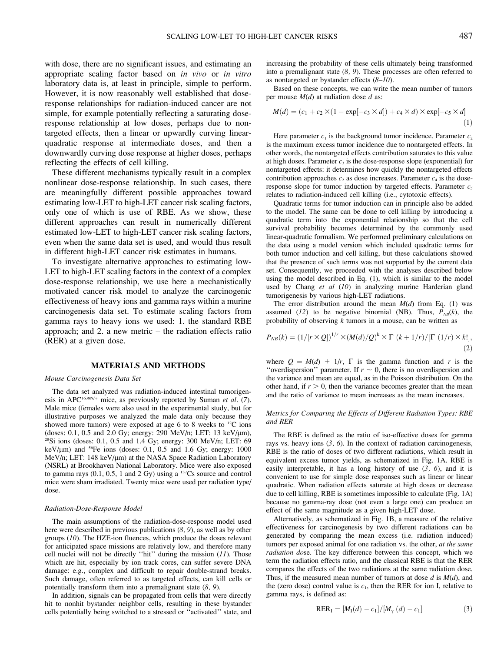with dose, there are no significant issues, and estimating an appropriate scaling factor based on in vivo or in vitro laboratory data is, at least in principle, simple to perform. However, it is now reasonably well established that doseresponse relationships for radiation-induced cancer are not simple, for example potentially reflecting a saturating doseresponse relationship at low doses, perhaps due to nontargeted effects, then a linear or upwardly curving linearquadratic response at intermediate doses, and then a downwardly curving dose response at higher doses, perhaps reflecting the effects of cell killing.

These different mechanisms typically result in a complex nonlinear dose-response relationship. In such cases, there are meaningfully different possible approaches toward estimating low-LET to high-LET cancer risk scaling factors, only one of which is use of RBE. As we show, these different approaches can result in numerically different estimated low-LET to high-LET cancer risk scaling factors, even when the same data set is used, and would thus result in different high-LET cancer risk estimates in humans.

To investigate alternative approaches to estimating low-LET to high-LET scaling factors in the context of a complex dose-response relationship, we use here a mechanistically motivated cancer risk model to analyze the carcinogenic effectiveness of heavy ions and gamma rays within a murine carcinogenesis data set. To estimate scaling factors from gamma rays to heavy ions we used: 1. the standard RBE approach; and 2. a new metric – the radiation effects ratio (RER) at a given dose.

### MATERIALS AND METHODS

#### Mouse Carcinogenesis Data Set

The data set analyzed was radiation-induced intestinal tumorigenesis in APC<sup>1638N/+</sup> mice, as previously reported by Suman et al. (7). Male mice (females were also used in the experimental study, but for illustrative purposes we analyzed the male data only because they showed more tumors) were exposed at age 6 to 8 weeks to 12C ions (doses: 0.1, 0.5 and 2.0 Gy; energy: 290 MeV/n; LET: 13 keV/ $\mu$ m),  $28\text{Si}$  ions (doses: 0.1, 0.5 and 1.4 Gy; energy: 300 MeV/n; LET: 69 keV/ $\mu$ m) and <sup>56</sup>Fe ions (doses: 0.1, 0.5 and 1.6 Gy; energy: 1000 MeV/n; LET: 148 keV/µm) at the NASA Space Radiation Laboratory (NSRL) at Brookhaven National Laboratory. Mice were also exposed to gamma rays  $(0.1, 0.5, 1$  and  $2 \text{ Gy})$  using a  $^{137}\text{Cs}$  source and control mice were sham irradiated. Twenty mice were used per radiation type/ dose.

#### Radiation-Dose-Response Model

The main assumptions of the radiation-dose-response model used here were described in previous publications (8, 9), as well as by other groups (10). The HZE-ion fluences, which produce the doses relevant for anticipated space missions are relatively low, and therefore many cell nuclei will not be directly "hit" during the mission  $(11)$ . Those which are hit, especially by ion track cores, can suffer severe DNA damage: e.g., complex and difficult to repair double-strand breaks. Such damage, often referred to as targeted effects, can kill cells or potentially transform them into a premalignant state (8, 9).

In addition, signals can be propagated from cells that were directly hit to nonhit bystander neighbor cells, resulting in these bystander cells potentially being switched to a stressed or ''activated'' state, and increasing the probability of these cells ultimately being transformed into a premalignant state  $(8, 9)$ . These processes are often referred to as nontargeted or bystander effects  $(8-10)$ .

Based on these concepts, we can write the mean number of tumors per mouse  $M(d)$  at radiation dose d as:

$$
M(d) = (c_1 + c_2 \times (1 - \exp[-c_3 \times d]) + c_4 \times d) \times \exp[-c_5 \times d]
$$
<sup>(1)</sup>

Here parameter  $c_1$  is the background tumor incidence. Parameter  $c_2$ is the maximum excess tumor incidence due to nontargeted effects. In other words, the nontargeted effects contribution saturates to this value at high doses. Parameter  $c_3$  is the dose-response slope (exponential) for nontargeted effects: it determines how quickly the nontargeted effects contribution approaches  $c_2$  as dose increases. Parameter  $c_4$  is the doseresponse slope for tumor induction by targeted effects. Parameter  $c_5$ relates to radiation-induced cell killing (i.e., cytotoxic effects).

Quadratic terms for tumor induction can in principle also be added to the model. The same can be done to cell killing by introducing a quadratic term into the exponential relationship so that the cell survival probability becomes determined by the commonly used linear-quadratic formalism. We performed preliminary calculations on the data using a model version which included quadratic terms for both tumor induction and cell killing, but these calculations showed that the presence of such terms was not supported by the current data set. Consequently, we proceeded with the analyses described below using the model described in Eq. (1), which is similar to the model used by Chang et al (10) in analyzing murine Harderian gland tumorigenesis by various high-LET radiations.

The error distribution around the mean  $M(d)$  from Eq. (1) was assumed (12) to be negative binomial (NB). Thus,  $P_{NB}(k)$ , the probability of observing  $k$  tumors in a mouse, can be written as

$$
P_{NB}(k) = \left(1/[r \times Q]\right)^{1/r} \times \left(M(d)/Q\right)^k \times \Gamma\left(k+1/r\right)/[\Gamma\left(1/r\right) \times k!],\tag{2}
$$

where  $Q = M(d) + 1/r$ ,  $\Gamma$  is the gamma function and r is the "overdispersion" parameter. If  $r \sim 0$ , there is no overdispersion and the variance and mean are equal, as in the Poisson distribution. On the other hand, if  $r > 0$ , then the variance becomes greater than the mean and the ratio of variance to mean increases as the mean increases.

#### Metrics for Comparing the Effects of Different Radiation Types: RBE and RER

The RBE is defined as the ratio of iso-effective doses for gamma rays vs. heavy ions  $(3, 6)$ . In the context of radiation carcinogenesis, RBE is the ratio of doses of two different radiations, which result in equivalent excess tumor yields, as schematized in Fig. 1A. RBE is easily interpretable, it has a long history of use  $(3, 6)$ , and it is convenient to use for simple dose responses such as linear or linear quadratic. When radiation effects saturate at high doses or decrease due to cell killing, RBE is sometimes impossible to calculate (Fig. 1A) because no gamma-ray dose (not even a large one) can produce an effect of the same magnitude as a given high-LET dose.

Alternatively, as schematized in Fig. 1B, a measure of the relative effectiveness for carcinogenesis by two different radiations can be generated by comparing the mean excess (i.e. radiation induced) tumors per exposed animal for one radiation vs. the other, at the same radiation dose. The key difference between this concept, which we term the radiation effects ratio, and the classical RBE is that the RER compares the effects of the two radiations at the same radiation dose. Thus, if the measured mean number of tumors at dose  $d$  is  $M(d)$ , and the (zero dose) control value is  $c_1$ , then the RER for ion I, relative to gamma rays, is defined as:

$$
RER_{I} = [M_{I}(d) - c_{1}]/[M_{\gamma}(d) - c_{1}] \tag{3}
$$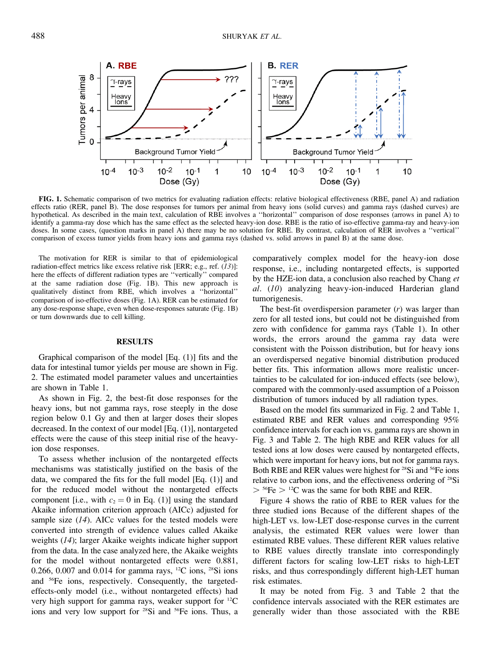

FIG. 1. Schematic comparison of two metrics for evaluating radiation effects: relative biological effectiveness (RBE, panel A) and radiation effects ratio (RER, panel B). The dose responses for tumors per animal from heavy ions (solid curves) and gamma rays (dashed curves) are hypothetical. As described in the main text, calculation of RBE involves a ''horizontal'' comparison of dose responses (arrows in panel A) to identify a gamma-ray dose which has the same effect as the selected heavy-ion dose. RBE is the ratio of iso-effective gamma-ray and heavy-ion doses. In some cases, (question marks in panel A) there may be no solution for RBE. By contrast, calculation of RER involves a ''vertical'' comparison of excess tumor yields from heavy ions and gamma rays (dashed vs. solid arrows in panel B) at the same dose.

The motivation for RER is similar to that of epidemiological radiation-effect metrics like excess relative risk [ERR; e.g., ref. (13)]: here the effects of different radiation types are ''vertically'' compared at the same radiation dose (Fig. 1B). This new approach is qualitatively distinct from RBE, which involves a ''horizontal'' comparison of iso-effective doses (Fig. 1A). RER can be estimated for any dose-response shape, even when dose-responses saturate (Fig. 1B) or turn downwards due to cell killing.

#### RESULTS

Graphical comparison of the model [Eq. (1)] fits and the data for intestinal tumor yields per mouse are shown in Fig. 2. The estimated model parameter values and uncertainties are shown in Table 1.

As shown in Fig. 2, the best-fit dose responses for the heavy ions, but not gamma rays, rose steeply in the dose region below 0.1 Gy and then at larger doses their slopes decreased. In the context of our model [Eq. (1)], nontargeted effects were the cause of this steep initial rise of the heavyion dose responses.

To assess whether inclusion of the nontargeted effects mechanisms was statistically justified on the basis of the data, we compared the fits for the full model [Eq. (1)] and for the reduced model without the nontargeted effects component [i.e., with  $c_2 = 0$  in Eq. (1)] using the standard Akaike information criterion approach (AICc) adjusted for sample size  $(14)$ . AICc values for the tested models were converted into strength of evidence values called Akaike weights (14); larger Akaike weights indicate higher support from the data. In the case analyzed here, the Akaike weights for the model without nontargeted effects were 0.881, 0.266, 0.007 and 0.014 for gamma rays, <sup>12</sup>C ions, <sup>28</sup>Si ions and 56Fe ions, respectively. Consequently, the targetedeffects-only model (i.e., without nontargeted effects) had very high support for gamma rays, weaker support for 12C ions and very low support for <sup>28</sup>Si and <sup>56</sup>Fe ions. Thus, a comparatively complex model for the heavy-ion dose response, i.e., including nontargeted effects, is supported by the HZE-ion data, a conclusion also reached by Chang et al. (10) analyzing heavy-ion-induced Harderian gland tumorigenesis.

The best-fit overdispersion parameter  $(r)$  was larger than zero for all tested ions, but could not be distinguished from zero with confidence for gamma rays (Table 1). In other words, the errors around the gamma ray data were consistent with the Poisson distribution, but for heavy ions an overdispersed negative binomial distribution produced better fits. This information allows more realistic uncertainties to be calculated for ion-induced effects (see below), compared with the commonly-used assumption of a Poisson distribution of tumors induced by all radiation types.

Based on the model fits summarized in Fig. 2 and Table 1, estimated RBE and RER values and corresponding 95% confidence intervals for each ion vs. gamma rays are shown in Fig. 3 and Table 2. The high RBE and RER values for all tested ions at low doses were caused by nontargeted effects, which were important for heavy ions, but not for gamma rays. Both RBE and RER values were highest for <sup>28</sup>Si and <sup>56</sup>Fe ions relative to carbon ions, and the effectiveness ordering of 28Si  $>$  <sup>56</sup>Fe  $>$  <sup>12</sup>C was the same for both RBE and RER.

Figure 4 shows the ratio of RBE to RER values for the three studied ions Because of the different shapes of the high-LET vs. low-LET dose-response curves in the current analysis, the estimated RER values were lower than estimated RBE values. These different RER values relative to RBE values directly translate into correspondingly different factors for scaling low-LET risks to high-LET risks, and thus correspondingly different high-LET human risk estimates.

It may be noted from Fig. 3 and Table 2 that the confidence intervals associated with the RER estimates are generally wider than those associated with the RBE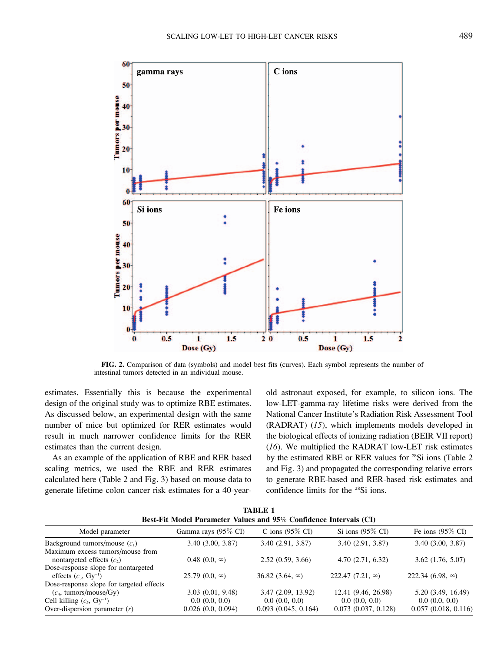

FIG. 2. Comparison of data (symbols) and model best fits (curves). Each symbol represents the number of intestinal tumors detected in an individual mouse.

estimates. Essentially this is because the experimental design of the original study was to optimize RBE estimates. As discussed below, an experimental design with the same number of mice but optimized for RER estimates would result in much narrower confidence limits for the RER estimates than the current design.

As an example of the application of RBE and RER based scaling metrics, we used the RBE and RER estimates calculated here (Table 2 and Fig. 3) based on mouse data to generate lifetime colon cancer risk estimates for a 40-yearold astronaut exposed, for example, to silicon ions. The low-LET-gamma-ray lifetime risks were derived from the National Cancer Institute's Radiation Risk Assessment Tool (RADRAT) (15), which implements models developed in the biological effects of ionizing radiation (BEIR VII report) (16). We multiplied the RADRAT low-LET risk estimates by the estimated RBE or RER values for <sup>28</sup>Si ions (Table 2 and Fig. 3) and propagated the corresponding relative errors to generate RBE-based and RER-based risk estimates and confidence limits for the 28Si ions.

| <b>TABLE 1</b><br>Best-Fit Model Parameter Values and 95% Confidence Intervals (CI) |                                    |                                      |                                           |                                      |  |  |  |  |  |  |
|-------------------------------------------------------------------------------------|------------------------------------|--------------------------------------|-------------------------------------------|--------------------------------------|--|--|--|--|--|--|
| Model parameter                                                                     | Gamma rays (95\% CI)               | C ions $(95\% \text{ CI})$           | Si ions $(95\% \text{ CI})$               | Fe ions $(95\% \text{ CI})$          |  |  |  |  |  |  |
| Background tumors/mouse $(c_1)$                                                     | 3.40(3.00, 3.87)                   | 3.40(2.91, 3.87)                     | 3.40(2.91, 3.87)                          | 3.40(3.00, 3.87)                     |  |  |  |  |  |  |
| Maximum excess tumors/mouse from<br>nontargeted effects $(c2)$                      | $0.48(0.0, \infty)$                | 2.52(0.59, 3.66)                     | 4.70(2.71, 6.32)                          | 3.62(1.76, 5.07)                     |  |  |  |  |  |  |
| Dose-response slope for nontargeted<br>effects $(c_3, Gv^{-1})$                     | $25.79(0.0, \infty)$               | 36.82 $(3.64, \infty)$               | 222.47 $(7.21, \infty)$                   | 222.34 $(6.98, \infty)$              |  |  |  |  |  |  |
| Dose-response slope for targeted effects<br>$(c_4, \text{ tumors/mouse/Gy})$        | 3.03(0.01, 9.48)                   | 3.47(2.09, 13.92)                    | 12.41 (9.46, 26.98)                       | 5.20 (3.49, 16.49)                   |  |  |  |  |  |  |
| Cell killing $(c_5, Gy^{-1})$<br>Over-dispersion parameter $(r)$                    | 0.0(0.0, 0.0)<br>0.026(0.0, 0.094) | 0.0(0.0, 0.0)<br>0.093(0.045, 0.164) | 0.0(0.0, 0.0)<br>$0.073$ $(0.037, 0.128)$ | 0.0(0.0, 0.0)<br>0.057(0.018, 0.116) |  |  |  |  |  |  |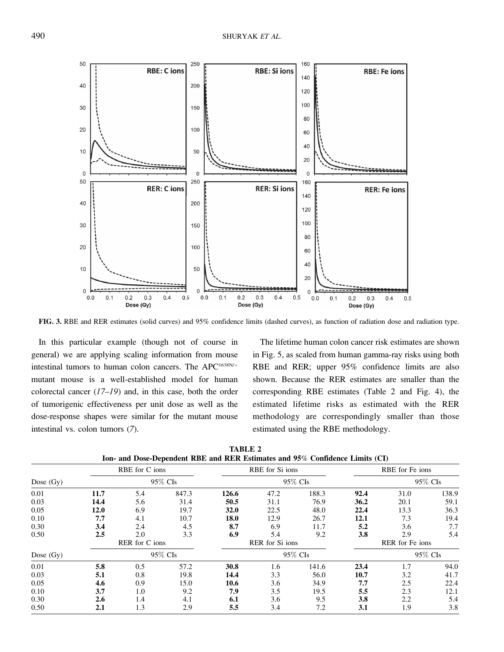

FIG. 3. RBE and RER estimates (solid curves) and 95% confidence limits (dashed curves), as function of radiation dose and radiation type.

In this particular example (though not of course in general) we are applying scaling information from mouse intestinal tumors to human colon cancers. The APC<sup>1638N/+</sup> mutant mouse is a well-established model for human colorectal cancer  $(17-19)$  and, in this case, both the order of tumorigenic effectiveness per unit dose as well as the dose-response shapes were similar for the mutant mouse intestinal vs. colon tumors (7).

The lifetime human colon cancer risk estimates are shown in Fig. 5, as scaled from human gamma-ray risks using both RBE and RER; upper 95% confidence limits are also shown. Because the RER estimates are smaller than the corresponding RBE estimates (Table 2 and Fig. 4), the estimated lifetime risks as estimated with the RER methodology are correspondingly smaller than those estimated using the RBE methodology.

|             | RBE for C ions |     |         | RBE for Si ions |      |         | RBE for Fe ions |         |         |
|-------------|----------------|-----|---------|-----------------|------|---------|-----------------|---------|---------|
| Dose $(Gy)$ |                |     | 95% CIs |                 |      | 95% CIs |                 |         | 95% CIs |
| 0.01        | 11.7           | 5.4 | 847.3   | 126.6           | 47.2 | 188.3   | 92.4            | 31.0    | 138.9   |
| 0.03        | 14.4           | 5.6 | 31.4    | 50.5            | 31.1 | 76.9    | 36.2            | 20.1    | 59.1    |
| 0.05        | 12.0           | 6.9 | 19.7    | <b>32.0</b>     | 22.5 | 48.0    | 22.4            | 13.3    | 36.3    |
| 0.10        | 7.7            | 4.1 | 10.7    | 18.0            | 12.9 | 26.7    | 12.1            | 7.3     | 19.4    |
| 0.30        | 3.4            | 2.4 | 4.5     | 8.7             | 6.9  | 11.7    | 5.2             | 3.6     | 7.7     |
| 0.50        | 2.5            | 2.0 | 3.3     | 6.9             | 5.4  | 9.2     | 3.8             | 2.9     | 5.4     |
|             | RER for C ions |     |         | RER for Si ions |      |         | RER for Fe ions |         |         |
| Dose $(Gy)$ |                |     | 95% CIs |                 |      | 95% CIs |                 | 95% CIs |         |
| 0.01        | 5.8            | 0.5 | 57.2    | 30.8            | 1.6  | 141.6   | 23.4            | 1.7     | 94.0    |
| 0.03        | 5.1            | 0.8 | 19.8    | 14.4            | 3.3  | 56.0    | 10.7            | 3.2     | 41.7    |
| 0.05        | 4.6            | 0.9 | 15.0    | 10.6            | 3.6  | 34.9    | 7.7             | 2.5     | 22.4    |
| 0.10        | 3.7            | 1.0 | 9.2     | 7.9             | 3.5  | 19.5    | 5.5             | 2.3     | 12.1    |
| 0.30        | 2.6            | 1.4 | 4.1     | 6.1             | 3.6  | 9.5     | 3.8             | 2.2     | 5.4     |
| 0.50        | 2.1            | 1.3 | 2.9     | 5.5             | 3.4  | 7.2     | 3.1             | 1.9     | 3.8     |

TABLE 2 Ion- and Dose-Dependent RBE and RER Estimates and 95% Confidence Limits (CI)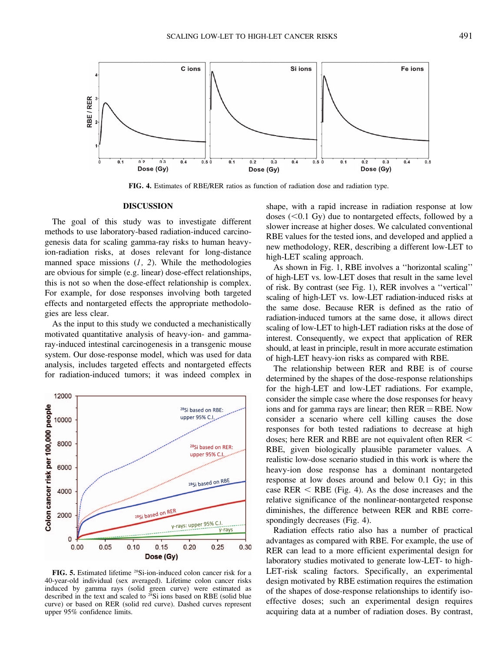

FIG. 4. Estimates of RBE/RER ratios as function of radiation dose and radiation type.

### DISCUSSION

The goal of this study was to investigate different methods to use laboratory-based radiation-induced carcinogenesis data for scaling gamma-ray risks to human heavyion-radiation risks, at doses relevant for long-distance manned space missions  $(1, 2)$ . While the methodologies are obvious for simple (e.g. linear) dose-effect relationships, this is not so when the dose-effect relationship is complex. For example, for dose responses involving both targeted effects and nontargeted effects the appropriate methodologies are less clear.

As the input to this study we conducted a mechanistically motivated quantitative analysis of heavy-ion- and gammaray-induced intestinal carcinogenesis in a transgenic mouse system. Our dose-response model, which was used for data analysis, includes targeted effects and nontargeted effects for radiation-induced tumors; it was indeed complex in



FIG. 5. Estimated lifetime 28Si-ion-induced colon cancer risk for a 40-year-old individual (sex averaged). Lifetime colon cancer risks induced by gamma rays (solid green curve) were estimated as described in the text and scaled to  $^{28}Si$  ions based on RBE (solid blue curve) or based on RER (solid red curve). Dashed curves represent upper 95% confidence limits.

shape, with a rapid increase in radiation response at low doses  $(<0.1 \text{ Gy})$  due to nontargeted effects, followed by a slower increase at higher doses. We calculated conventional RBE values for the tested ions, and developed and applied a new methodology, RER, describing a different low-LET to high-LET scaling approach.

As shown in Fig. 1, RBE involves a ''horizontal scaling'' of high-LET vs. low-LET doses that result in the same level of risk. By contrast (see Fig. 1), RER involves a ''vertical'' scaling of high-LET vs. low-LET radiation-induced risks at the same dose. Because RER is defined as the ratio of radiation-induced tumors at the same dose, it allows direct scaling of low-LET to high-LET radiation risks at the dose of interest. Consequently, we expect that application of RER should, at least in principle, result in more accurate estimation of high-LET heavy-ion risks as compared with RBE.

The relationship between RER and RBE is of course determined by the shapes of the dose-response relationships for the high-LET and low-LET radiations. For example, consider the simple case where the dose responses for heavy ions and for gamma rays are linear; then  $RER = RBE$ . Now consider a scenario where cell killing causes the dose responses for both tested radiations to decrease at high doses; here RER and RBE are not equivalent often RER  $<$ RBE, given biologically plausible parameter values. A realistic low-dose scenario studied in this work is where the heavy-ion dose response has a dominant nontargeted response at low doses around and below 0.1 Gy; in this case RER  $\leq$  RBE (Fig. 4). As the dose increases and the relative significance of the nonlinear-nontargeted response diminishes, the difference between RER and RBE correspondingly decreases (Fig. 4).

Radiation effects ratio also has a number of practical advantages as compared with RBE. For example, the use of RER can lead to a more efficient experimental design for laboratory studies motivated to generate low-LET- to high-LET-risk scaling factors. Specifically, an experimental design motivated by RBE estimation requires the estimation of the shapes of dose-response relationships to identify isoeffective doses; such an experimental design requires acquiring data at a number of radiation doses. By contrast,